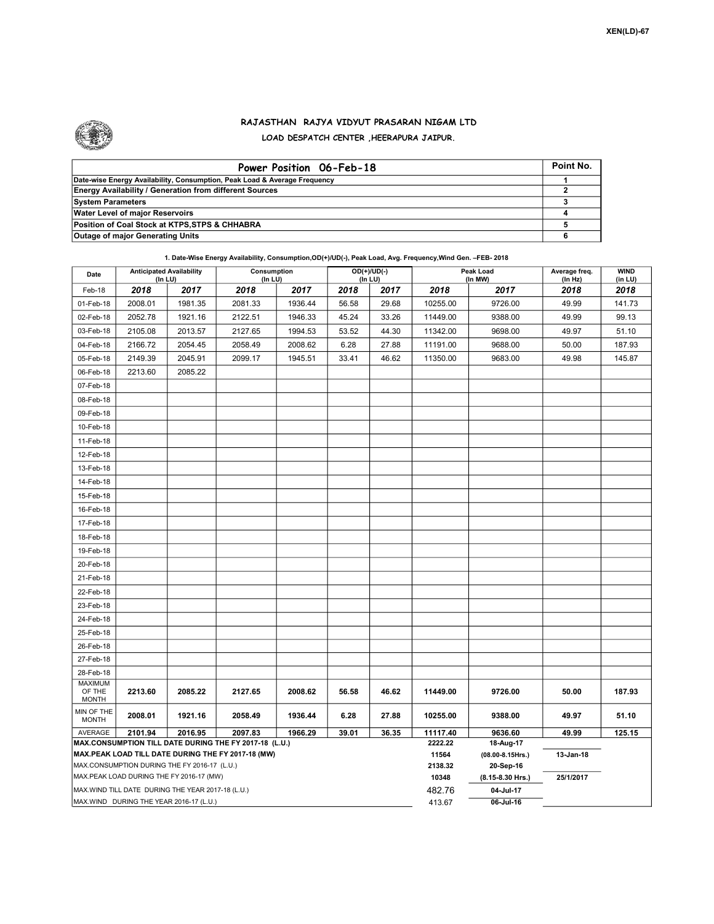

## RAJASTHAN RAJYA VIDYUT PRASARAN NIGAM LTD LOAD DESPATCH CENTER ,HEERAPURA JAIPUR.

| Power Position 06-Feb-18                                                  | Point No. |
|---------------------------------------------------------------------------|-----------|
| Date-wise Energy Availability, Consumption, Peak Load & Average Frequency |           |
| <b>Energy Availability / Generation from different Sources</b>            |           |
| <b>System Parameters</b>                                                  |           |
| <b>Water Level of major Reservoirs</b>                                    |           |
| Position of Coal Stock at KTPS, STPS & CHHABRA                            |           |
| <b>Outage of major Generating Units</b>                                   |           |

| Date                                    | <b>Anticipated Availability</b><br>(In LU)         |         | Consumption<br>(In LU)                                                                                       |         |       | $OD(+)/UD(-)$<br>(In LU) |                  | Peak Load<br>(In MW)          | Average freq.<br>(In Hz) | <b>WIND</b><br>(in LU) |
|-----------------------------------------|----------------------------------------------------|---------|--------------------------------------------------------------------------------------------------------------|---------|-------|--------------------------|------------------|-------------------------------|--------------------------|------------------------|
| Feb-18                                  | 2018                                               | 2017    | 2018                                                                                                         | 2017    | 2018  | 2017                     | 2018             | 2017                          | 2018                     | 2018                   |
| 01-Feb-18                               | 2008.01                                            | 1981.35 | 2081.33                                                                                                      | 1936.44 | 56.58 | 29.68                    | 10255.00         | 9726.00                       | 49.99                    | 141.73                 |
| 02-Feb-18                               | 2052.78                                            | 1921.16 | 2122.51                                                                                                      | 1946.33 | 45.24 | 33.26                    | 11449.00         | 9388.00                       | 49.99                    | 99.13                  |
| 03-Feb-18                               | 2105.08                                            | 2013.57 | 2127.65                                                                                                      | 1994.53 | 53.52 | 44.30                    | 11342.00         | 9698.00                       | 49.97                    | 51.10                  |
| 04-Feb-18                               | 2166.72                                            | 2054.45 | 2058.49                                                                                                      | 2008.62 | 6.28  | 27.88                    | 11191.00         | 9688.00                       | 50.00                    | 187.93                 |
| 05-Feb-18                               | 2149.39                                            | 2045.91 | 2099.17                                                                                                      | 1945.51 | 33.41 | 46.62                    | 11350.00         | 9683.00                       | 49.98                    | 145.87                 |
| 06-Feb-18                               | 2213.60                                            | 2085.22 |                                                                                                              |         |       |                          |                  |                               |                          |                        |
| 07-Feb-18                               |                                                    |         |                                                                                                              |         |       |                          |                  |                               |                          |                        |
| 08-Feb-18                               |                                                    |         |                                                                                                              |         |       |                          |                  |                               |                          |                        |
| 09-Feb-18                               |                                                    |         |                                                                                                              |         |       |                          |                  |                               |                          |                        |
| 10-Feb-18                               |                                                    |         |                                                                                                              |         |       |                          |                  |                               |                          |                        |
| 11-Feb-18                               |                                                    |         |                                                                                                              |         |       |                          |                  |                               |                          |                        |
| 12-Feb-18                               |                                                    |         |                                                                                                              |         |       |                          |                  |                               |                          |                        |
| 13-Feb-18                               |                                                    |         |                                                                                                              |         |       |                          |                  |                               |                          |                        |
| 14-Feb-18                               |                                                    |         |                                                                                                              |         |       |                          |                  |                               |                          |                        |
| 15-Feb-18                               |                                                    |         |                                                                                                              |         |       |                          |                  |                               |                          |                        |
| 16-Feb-18                               |                                                    |         |                                                                                                              |         |       |                          |                  |                               |                          |                        |
| 17-Feb-18                               |                                                    |         |                                                                                                              |         |       |                          |                  |                               |                          |                        |
| 18-Feb-18                               |                                                    |         |                                                                                                              |         |       |                          |                  |                               |                          |                        |
| 19-Feb-18                               |                                                    |         |                                                                                                              |         |       |                          |                  |                               |                          |                        |
| 20-Feb-18                               |                                                    |         |                                                                                                              |         |       |                          |                  |                               |                          |                        |
| 21-Feb-18                               |                                                    |         |                                                                                                              |         |       |                          |                  |                               |                          |                        |
| 22-Feb-18                               |                                                    |         |                                                                                                              |         |       |                          |                  |                               |                          |                        |
| 23-Feb-18                               |                                                    |         |                                                                                                              |         |       |                          |                  |                               |                          |                        |
| 24-Feb-18                               |                                                    |         |                                                                                                              |         |       |                          |                  |                               |                          |                        |
| 25-Feb-18                               |                                                    |         |                                                                                                              |         |       |                          |                  |                               |                          |                        |
| 26-Feb-18                               |                                                    |         |                                                                                                              |         |       |                          |                  |                               |                          |                        |
| 27-Feb-18                               |                                                    |         |                                                                                                              |         |       |                          |                  |                               |                          |                        |
| 28-Feb-18                               |                                                    |         |                                                                                                              |         |       |                          |                  |                               |                          |                        |
| <b>MAXIMUM</b><br>OF THE                | 2213.60                                            | 2085.22 | 2127.65                                                                                                      | 2008.62 | 56.58 | 46.62                    | 11449.00         | 9726.00                       | 50.00                    | 187.93                 |
| <b>MONTH</b>                            |                                                    |         |                                                                                                              |         |       |                          |                  |                               |                          |                        |
| MIN OF THE<br><b>MONTH</b>              | 2008.01                                            | 1921.16 | 2058.49                                                                                                      | 1936.44 | 6.28  | 27.88                    | 10255.00         | 9388.00                       | 49.97                    | 51.10                  |
| AVERAGE                                 | 2101.94                                            | 2016.95 | 2097.83                                                                                                      | 1966.29 | 39.01 | 36.35                    | 11117.40         | 9636.60                       | 49.99                    | 125.15                 |
|                                         |                                                    |         | MAX.CONSUMPTION TILL DATE DURING THE FY 2017-18 (L.U.)<br>MAX.PEAK LOAD TILL DATE DURING THE FY 2017-18 (MW) |         |       |                          | 2222.22<br>11564 | 18-Aug-17                     | 13-Jan-18                |                        |
|                                         | MAX.CONSUMPTION DURING THE FY 2016-17 (L.U.)       |         |                                                                                                              |         |       |                          | 2138.32          | (08.00-8.15Hrs.)<br>20-Sep-16 |                          |                        |
|                                         | MAX.PEAK LOAD DURING THE FY 2016-17 (MW)           |         |                                                                                                              |         |       |                          | 10348            | (8.15-8.30 Hrs.)              | 25/1/2017                |                        |
|                                         | MAX. WIND TILL DATE DURING THE YEAR 2017-18 (L.U.) |         |                                                                                                              |         |       |                          | 482.76           | 04-Jul-17                     |                          |                        |
| MAX.WIND DURING THE YEAR 2016-17 (L.U.) |                                                    |         |                                                                                                              |         |       |                          | 413.67           | 06-Jul-16                     |                          |                        |

1. Date-Wise Energy Availability, Consumption,OD(+)/UD(-), Peak Load, Avg. Frequency,Wind Gen. –FEB- 2018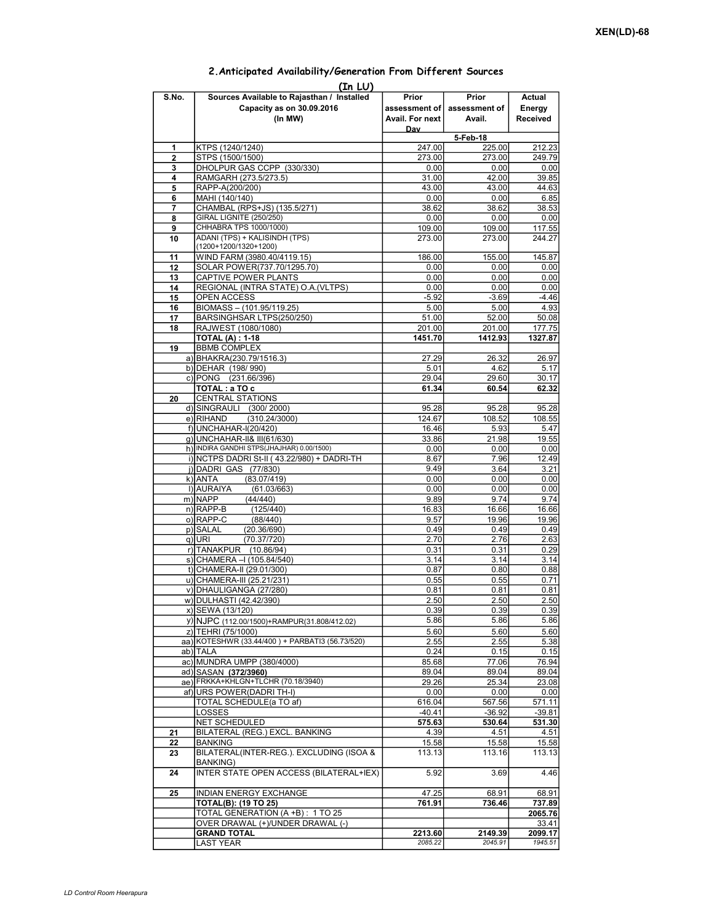| (In LU) |                                                                                    |                                             |                                  |                              |  |  |  |  |  |
|---------|------------------------------------------------------------------------------------|---------------------------------------------|----------------------------------|------------------------------|--|--|--|--|--|
| S.No.   | Sources Available to Rajasthan / Installed<br>Capacity as on 30.09.2016<br>(In MW) | Prior<br>assessment of  <br>Avail. For next | Prior<br>assessment of<br>Avail. | Actual<br>Energy<br>Received |  |  |  |  |  |
|         |                                                                                    | Day                                         | 5-Feb-18                         |                              |  |  |  |  |  |
| 1       | KTPS (1240/1240)                                                                   | 247.00                                      | 225.00                           | 212.23                       |  |  |  |  |  |
| 2       | STPS (1500/1500)                                                                   | 273.00                                      | 273.00                           | 249.79                       |  |  |  |  |  |
| 3       | DHOLPUR GAS CCPP (330/330)                                                         | 0.00                                        | 0.00                             | 0.00                         |  |  |  |  |  |
| 4       | RAMGARH (273.5/273.5)                                                              | 31.00                                       | 42.00                            | 39.85                        |  |  |  |  |  |
| 5       | RAPP-A(200/200)                                                                    | 43.00                                       | 43.00                            | 44.63                        |  |  |  |  |  |
| 6       | MAHI (140/140)                                                                     | 0.00                                        | 0.00                             | 6.85                         |  |  |  |  |  |
| 7       | CHAMBAL (RPS+JS) (135.5/271)<br>GIRAL LIGNITE (250/250)                            | 38.62                                       | 38.62                            | 38.53                        |  |  |  |  |  |
| 8<br>9  | CHHABRA TPS 1000/1000)                                                             | 0.00<br>109.00                              | 0.00<br>109.00                   | 0.00<br>117.55               |  |  |  |  |  |
| 10      | ADANI (TPS) + KALISINDH (TPS)                                                      | 273.00                                      | 273.00                           | 244.27                       |  |  |  |  |  |
|         | (1200+1200/1320+1200)                                                              |                                             |                                  |                              |  |  |  |  |  |
| 11      | WIND FARM (3980.40/4119.15)                                                        | 186.00                                      | 155.00                           | 145.87                       |  |  |  |  |  |
| 12      | SOLAR POWER(737.70/1295.70)                                                        | 0.00                                        | 0.00                             | 0.00                         |  |  |  |  |  |
| 13      | CAPTIVE POWER PLANTS                                                               | 0.00                                        | 0.00                             | 0.00                         |  |  |  |  |  |
| 14      | REGIONAL (INTRA STATE) O.A. (VLTPS)                                                | 0.00                                        | 0.00                             | 0.00                         |  |  |  |  |  |
| 15      | <b>OPEN ACCESS</b>                                                                 | $-5.92$                                     | $-3.69$                          | $-4.46$                      |  |  |  |  |  |
| 16      | BIOMASS - (101.95/119.25)                                                          | 5.00                                        | 5.00                             | 4.93                         |  |  |  |  |  |
| 17      | BARSINGHSAR LTPS(250/250)                                                          | 51.00                                       | 52.00                            | 50.08                        |  |  |  |  |  |
| 18      | RAJWEST (1080/1080)<br><b>TOTAL (A): 1-18</b>                                      | 201.00<br>1451.70                           | 201.00<br>1412.93                | 177.75<br>1327.87            |  |  |  |  |  |
| 19      | <b>BBMB COMPLEX</b>                                                                |                                             |                                  |                              |  |  |  |  |  |
|         | a) BHAKRA(230.79/1516.3)                                                           | 27.29                                       | 26.32                            | 26.97                        |  |  |  |  |  |
|         | b) DEHAR (198/990)                                                                 | 5.01                                        | 4.62                             | 5.17                         |  |  |  |  |  |
|         | c) PONG (231.66/396)                                                               | 29.04                                       | 29.60                            | 30.17                        |  |  |  |  |  |
|         | TOTAL: a TO c                                                                      | 61.34                                       | 60.54                            | 62.32                        |  |  |  |  |  |
| 20      | <b>CENTRAL STATIONS</b>                                                            |                                             |                                  |                              |  |  |  |  |  |
|         | d) SINGRAULI (300/2000)                                                            | 95.28                                       | 95.28                            | 95.28                        |  |  |  |  |  |
|         | e) RIHAND<br>(310.24/3000)                                                         | 124.67                                      | 108.52                           | 108.55                       |  |  |  |  |  |
|         | f) UNCHAHAR-I(20/420)                                                              | 16.46                                       | 5.93                             | 5.47                         |  |  |  |  |  |
|         | q) UNCHAHAR-II& III(61/630)<br>h) INDIRA GANDHI STPS(JHAJHAR) 0.00/1500)           | 33.86                                       | 21.98                            | 19.55                        |  |  |  |  |  |
|         | i) NCTPS DADRI St-II (43.22/980) + DADRI-TH                                        | 0.00<br>8.67                                | 0.00<br>7.96                     | 0.00<br>12.49                |  |  |  |  |  |
|         | j) DADRI GAS (77/830)                                                              | 9.49                                        | 3.64                             | 3.21                         |  |  |  |  |  |
|         | k) ANTA<br>(83.07/419)                                                             | 0.00                                        | 0.00                             | 0.00                         |  |  |  |  |  |
|         | I) AURAIYA<br>(61.03/663)                                                          | 0.00                                        | 0.00                             | 0.00                         |  |  |  |  |  |
|         | m) NAPP<br>(44/440)                                                                | 9.89                                        | 9.74                             | 9.74                         |  |  |  |  |  |
|         | $n)$ RAPP-B<br>(125/440)                                                           | 16.83                                       | 16.66                            | 16.66                        |  |  |  |  |  |
|         | o) RAPP-C<br>(88/440)                                                              | 9.57                                        | 19.96                            | 19.96                        |  |  |  |  |  |
|         | p) SALAL<br>(20.36/690)                                                            | 0.49                                        | 0.49                             | 0.49                         |  |  |  |  |  |
|         | (70.37/720)<br>q) URI                                                              | 2.70                                        | 2.76                             | 2.63                         |  |  |  |  |  |
|         | r) TANAKPUR<br>(10.86/94)                                                          | 0.31                                        | 0.31                             | 0.29                         |  |  |  |  |  |
|         | s) CHAMERA - (105.84/540)                                                          | 3.14                                        | 3.14                             | 3.14                         |  |  |  |  |  |
|         | t) CHAMERA-II (29.01/300)<br>u) CHAMERA-III (25.21/231)                            | 0.87<br>0.55                                | 0.80<br>0.55                     | 0.88<br>0.71                 |  |  |  |  |  |
|         | v) DHAULIGANGA (27/280)                                                            | 0.81                                        | 0.81                             | 0.81                         |  |  |  |  |  |
|         | w) DULHASTI (42.42/390)                                                            | 2.50                                        | 2.50                             | 2.50                         |  |  |  |  |  |
|         | x) SEWA (13/120)                                                                   | 0.39                                        | 0.39                             | 0.39                         |  |  |  |  |  |
|         | y) NJPC (112.00/1500) + RAMPUR(31.808/412.02)                                      | 5.86                                        | 5.86                             | 5.86                         |  |  |  |  |  |
|         | z) TEHRI (75/1000)                                                                 | 5.60                                        | 5.60                             | 5.60                         |  |  |  |  |  |
|         | aa) KOTESHWR (33.44/400) + PARBATI3 (56.73/520)                                    | 2.55                                        | 2.55                             | 5.38                         |  |  |  |  |  |
|         | ab) TALA                                                                           | 0.24                                        | 0.15                             | 0.15                         |  |  |  |  |  |
|         | ac) MUNDRA UMPP (380/4000)                                                         | 85.68                                       | 77.06                            | 76.94                        |  |  |  |  |  |
|         | ad) SASAN (372/3960)                                                               | 89.04                                       | 89.04                            | 89.04                        |  |  |  |  |  |
|         | ae) FRKKA+KHLGN+TLCHR (70.18/3940)                                                 | 29.26                                       | 25.34                            | 23.08                        |  |  |  |  |  |
|         | af) URS POWER (DADRI TH-I)                                                         | 0.00                                        | 0.00                             | 0.00                         |  |  |  |  |  |
|         | TOTAL SCHEDULE(a TO af)                                                            | 616.04<br>$-40.41$                          | 567.56                           | 571.11                       |  |  |  |  |  |
|         | LOSSES<br>NET SCHEDULED                                                            | 575.63                                      | $-36.92$<br>530.64               | $-39.81$<br>531.30           |  |  |  |  |  |
| 21      | BILATERAL (REG.) EXCL. BANKING                                                     | 4.39                                        | 4.51                             | 4.51                         |  |  |  |  |  |
| 22      | BANKING                                                                            | 15.58                                       | 15.58                            | 15.58                        |  |  |  |  |  |
| 23      | BILATERAL(INTER-REG.). EXCLUDING (ISOA &                                           | 113.13                                      | 113.16                           | 113.13                       |  |  |  |  |  |
| 24      | <b>BANKING)</b><br>INTER STATE OPEN ACCESS (BILATERAL+IEX)                         | 5.92                                        | 3.69                             | 4.46                         |  |  |  |  |  |
| 25      | INDIAN ENERGY EXCHANGE                                                             | 47.25                                       | 68.91                            | 68.91                        |  |  |  |  |  |
|         | TOTAL(B): (19 TO 25)                                                               | 761.91                                      | 736.46                           | 737.89                       |  |  |  |  |  |
|         | TOTAL GENERATION (A +B): 1 TO 25                                                   |                                             |                                  | 2065.76                      |  |  |  |  |  |
|         | OVER DRAWAL (+)/UNDER DRAWAL (-)                                                   |                                             |                                  | 33.41                        |  |  |  |  |  |
|         | <b>GRAND TOTAL</b>                                                                 | 2213.60                                     | 2149.39                          | 2099.17                      |  |  |  |  |  |
|         | LAST YEAR                                                                          | 2085.22                                     | 2045.91                          | 1945.51                      |  |  |  |  |  |

## 2.Anticipated Availability/Generation From Different Sources